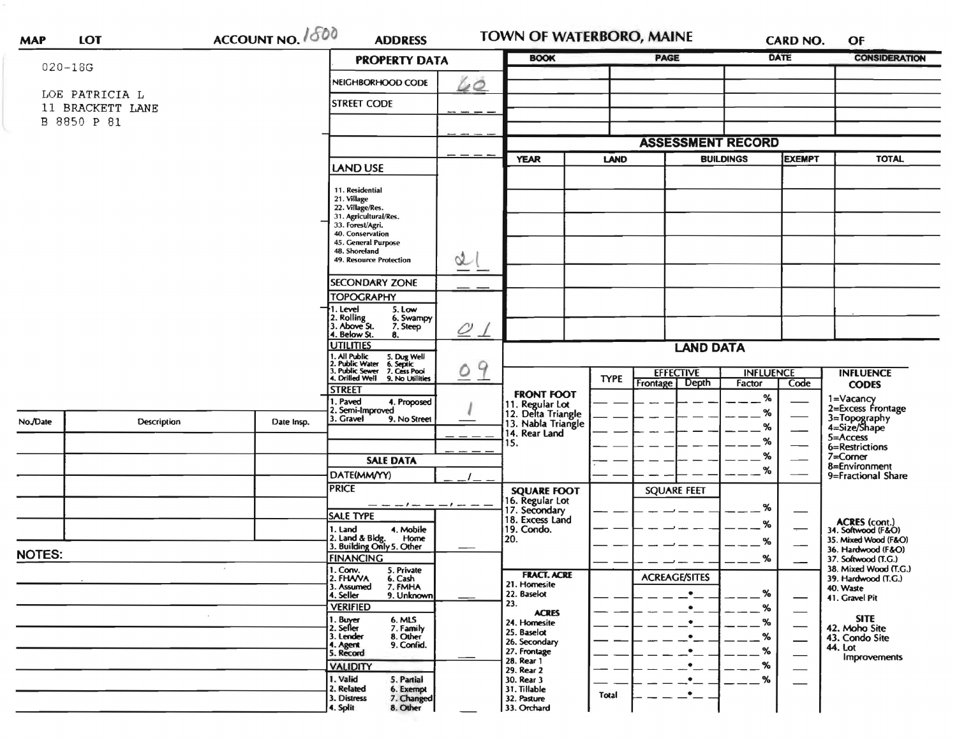|               |                    | ACCOUNT NO. 1800                                                                                                          |                                                               | <b>BOOK</b> |                                                             | <b>PAGE</b> |                                      | <b>CARD NO.</b><br>DATE    |                               | OF<br><b>CONSIDERATION</b>                   |
|---------------|--------------------|---------------------------------------------------------------------------------------------------------------------------|---------------------------------------------------------------|-------------|-------------------------------------------------------------|-------------|--------------------------------------|----------------------------|-------------------------------|----------------------------------------------|
| $020 - 18G$   |                    |                                                                                                                           | <b>PROPERTY DATA</b>                                          |             |                                                             |             |                                      |                            |                               |                                              |
|               | LOE PATRICIA L     |                                                                                                                           | NEIGHBORHOOD CODE                                             | 60          |                                                             |             |                                      |                            |                               |                                              |
|               | 11 BRACKETT LANE   |                                                                                                                           | <b>STREET CODE</b>                                            |             |                                                             |             |                                      |                            |                               |                                              |
|               | B 8850 P 81        |                                                                                                                           |                                                               |             |                                                             |             |                                      |                            |                               |                                              |
|               |                    |                                                                                                                           |                                                               |             |                                                             |             |                                      |                            |                               |                                              |
|               |                    |                                                                                                                           |                                                               |             |                                                             |             | <b>ASSESSMENT RECORD</b>             |                            |                               |                                              |
|               |                    |                                                                                                                           | LAND USE                                                      |             | <b>YEAR</b>                                                 | LAND        |                                      | <b>BUILDINGS</b>           | <b>EXEMPT</b>                 | <b>TOTAL</b>                                 |
|               |                    |                                                                                                                           |                                                               |             |                                                             |             |                                      |                            |                               |                                              |
|               |                    |                                                                                                                           | 11. Residential<br>21. Village                                |             |                                                             |             |                                      |                            |                               |                                              |
|               |                    |                                                                                                                           | 22. Village/Res.<br>31. Agricultural/Res.                     |             |                                                             |             |                                      |                            |                               |                                              |
|               |                    |                                                                                                                           | 33. Forest/Agri.                                              |             |                                                             |             |                                      |                            |                               |                                              |
|               |                    |                                                                                                                           | 40. Conservation<br>45. General Purpose                       |             |                                                             |             |                                      |                            |                               |                                              |
|               |                    |                                                                                                                           | 48. Shoreland<br>49. Resource Protection                      | ol          |                                                             |             |                                      |                            |                               |                                              |
|               |                    |                                                                                                                           |                                                               |             |                                                             |             |                                      |                            |                               |                                              |
|               |                    |                                                                                                                           | <b>SECONDARY ZONE</b>                                         |             |                                                             |             |                                      |                            |                               |                                              |
|               |                    |                                                                                                                           | <b>TOPOGRAPHY</b>                                             |             |                                                             |             |                                      |                            |                               |                                              |
|               |                    |                                                                                                                           | I. Level<br>5. Low<br>2. Rolling<br>3. Above St.<br>6. Swampy |             |                                                             |             |                                      |                            |                               |                                              |
|               |                    |                                                                                                                           | 7. Steep<br>4. Below St.<br>8.                                | $\varrho$   |                                                             |             |                                      |                            |                               |                                              |
|               |                    |                                                                                                                           | <b>UTILITIES</b>                                              |             |                                                             |             | <b>LAND DATA</b>                     |                            |                               |                                              |
|               |                    | 1. All Public 5. Dug Well<br>2. Public Water 6. Septic<br>3. Public Sewer 7. Cess Pool<br>4. Drilled Well 9. No Utilities |                                                               |             |                                                             |             |                                      |                            |                               |                                              |
|               |                    |                                                                                                                           |                                                               | 9<br>0      |                                                             | <b>TYPE</b> | <b>EFFECTIVE</b><br>Frontage   Depth | <b>INFLUENCE</b><br>Factor | Code                          | <b>INFLUENCE</b>                             |
|               |                    |                                                                                                                           | <b>STREET</b>                                                 |             | <b>FRONT FOOT</b>                                           |             |                                      | %                          |                               | <b>CODES</b>                                 |
|               |                    |                                                                                                                           | . Paved<br>4. Proposed<br>2. Semi-Improved                    |             |                                                             |             |                                      | %                          |                               | 1=Vacancy<br>2=Excess Frontage               |
| No./Date      | <b>Description</b> | Date Insp.                                                                                                                | 3. Gravel<br>9. No Street                                     |             | 11. Regular Lot<br>12. Delta Triangle<br>13. Nabla Triangle |             |                                      | %                          |                               | 3=Topography<br>4=Size/Shape                 |
|               |                    |                                                                                                                           |                                                               |             | 14. Rear Land<br>15.                                        |             |                                      | %                          | —                             | $5 =$ Access                                 |
|               |                    |                                                                                                                           |                                                               |             |                                                             |             |                                      | %                          |                               | 6=Restrictions<br>$7 =$ Corner               |
|               |                    |                                                                                                                           | <b>SALE DATA</b>                                              |             |                                                             |             |                                      | %                          |                               | 8=Environment                                |
|               |                    |                                                                                                                           | DATE(MM/YY)<br><b>PRICE</b>                                   |             |                                                             |             |                                      |                            |                               | 9=Fractional Share                           |
|               |                    |                                                                                                                           |                                                               |             | <b>SQUARE FOOT</b>                                          |             | <b>SQUARE FEET</b>                   |                            |                               |                                              |
|               |                    |                                                                                                                           | — — — 1 — — — 1 — — —<br><b>SALE TYPE</b>                     |             | 16. Regular Lot<br>17. Secondary<br>18. Excess Land         |             |                                      | %                          |                               |                                              |
|               |                    |                                                                                                                           | 4. Mobile<br>1. Land                                          |             | 19. Condo.                                                  |             |                                      | %                          |                               | ACRES (cont.)<br>34. Softwood (F&O)          |
|               |                    |                                                                                                                           | 2. Land & Bldg. Home<br>3. Building Only 5. Other<br>Home     |             | 20.                                                         |             |                                      | %                          |                               | 35. Mixed Wood (F&O)<br>36. Hardwood (F&O)   |
| <b>NOTES:</b> |                    |                                                                                                                           | <b>FINANCING</b>                                              |             |                                                             |             |                                      | %                          |                               | 37. Softwood (T.G.)                          |
|               |                    |                                                                                                                           | 1. Conv.<br>5. Private<br>2. FHAVA<br>6. Cash                 |             | <b>FRACT. ACRE</b>                                          |             | <b>ACREAGE/SITES</b>                 |                            |                               | 38. Mixed Wood (T.G.)<br>39. Hardwood (T.G.) |
|               |                    |                                                                                                                           | 3. Assumed<br>7. FMHA                                         |             | 21. Homesite<br>22. Baselot                                 |             | ٠                                    | $\%$                       |                               | 40. Waste                                    |
|               |                    |                                                                                                                           | 9. Unknown<br>4. Seller<br><b>VERIFIED</b>                    |             | 23.                                                         |             | $\bullet$                            | %                          |                               | 41. Gravel Pit                               |
|               |                    |                                                                                                                           | 1. Buyer<br>6. MLS                                            |             | <b>ACRES</b><br>24. Homesite                                |             | $\bullet$                            | %                          |                               | <b>SITE</b>                                  |
|               |                    |                                                                                                                           | 7. Family<br>8. Other<br>2. Seller<br>3. Lender               |             | 25. Baselot                                                 |             |                                      | %                          | $\overbrace{\phantom{aaaaa}}$ | 42. Moho Site<br>43. Condo Site              |
|               |                    |                                                                                                                           | 9. Confid.<br>4. Agent<br>5. Record                           |             | 26. Secondary<br>27. Frontage                               |             |                                      | %                          | $\overline{\phantom{0}}$      | <b>44. Lot</b>                               |
|               |                    |                                                                                                                           | <b>VALIDITY</b>                                               |             | 28. Rear 1                                                  |             |                                      | %                          |                               | <b>Improvements</b>                          |
|               |                    |                                                                                                                           | 1. Valid<br>5. Partial                                        |             | 29. Rear 2<br>30. Rear 3                                    |             | ٠                                    | %                          |                               |                                              |
|               |                    |                                                                                                                           |                                                               |             | 31. Tillable                                                |             |                                      |                            |                               |                                              |
|               |                    |                                                                                                                           | 2. Related<br>6. Exempt<br>3. Distress<br>7. Changed          |             | 32. Pasture                                                 | Total       | $\bullet$                            |                            |                               |                                              |